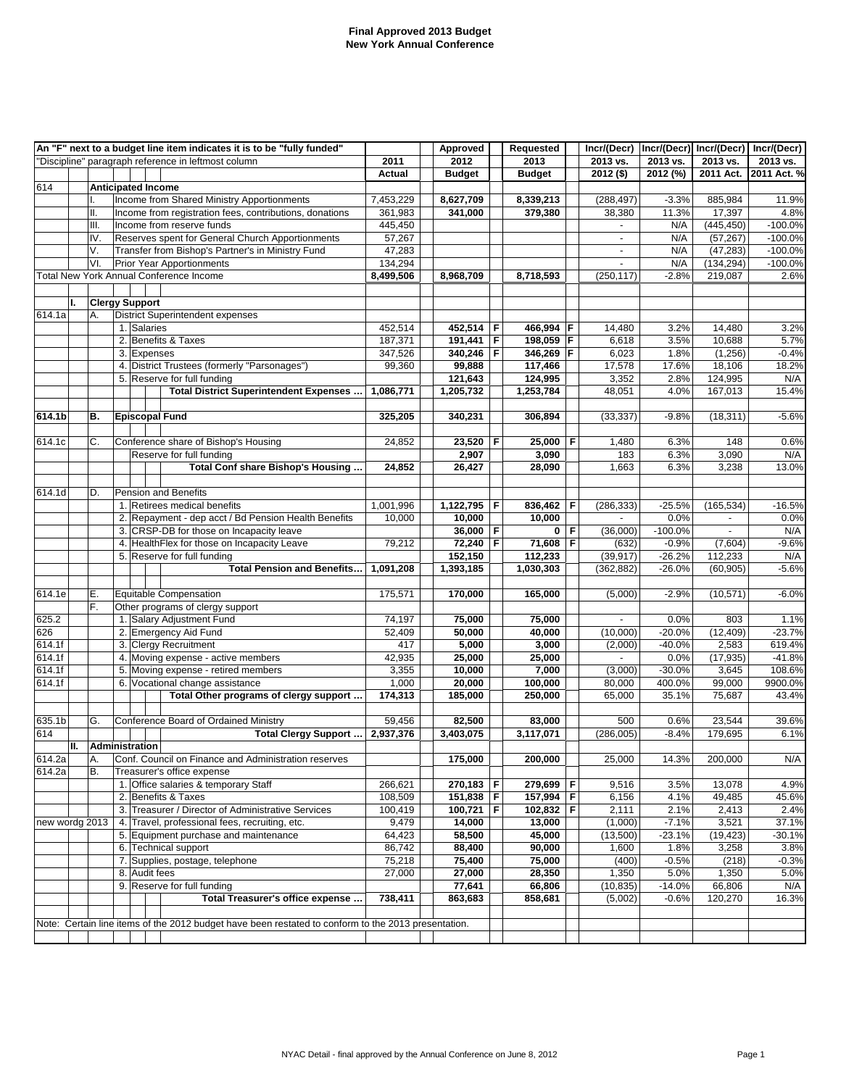## **Final Approved 2013 Budget New York Annual Conference**

|                | An "F" next to a budget line item indicates it is to be "fully funded" |     |  |                           |                                                                                                     |           | Approved      |   | Requested     |   | Incr/(Decr)        |           | Incr/(Decr) Incr/(Decr) | Incr/(Decr) |
|----------------|------------------------------------------------------------------------|-----|--|---------------------------|-----------------------------------------------------------------------------------------------------|-----------|---------------|---|---------------|---|--------------------|-----------|-------------------------|-------------|
|                |                                                                        |     |  |                           | "Discipline" paragraph reference in leftmost column                                                 | 2011      | 2012          |   | 2013          |   | 2013 vs.           | 2013 vs.  | 2013 vs.                | 2013 vs.    |
|                |                                                                        |     |  |                           |                                                                                                     | Actual    | <b>Budget</b> |   | <b>Budget</b> |   | $2012($ \$)        | 2012 (%)  | 2011 Act.               | 2011 Act. % |
| 614            |                                                                        |     |  | <b>Anticipated Income</b> |                                                                                                     |           |               |   |               |   |                    |           |                         |             |
|                |                                                                        |     |  |                           | Income from Shared Ministry Apportionments                                                          | 7,453,229 | 8,627,709     |   | 8,339,213     |   | (288, 497)         | $-3.3%$   | 885,984                 | 11.9%       |
|                |                                                                        | Ⅱ.  |  |                           | Income from registration fees, contributions, donations                                             | 361,983   | 341,000       |   | 379,380       |   | 38,380             | 11.3%     | 17,397                  | 4.8%        |
|                |                                                                        | Ш.  |  |                           | Income from reserve funds                                                                           | 445,450   |               |   |               |   |                    | N/A       | (445, 450)              | $-100.0%$   |
|                |                                                                        | IV. |  |                           | Reserves spent for General Church Apportionments                                                    | 57,267    |               |   |               |   |                    | N/A       | (57, 267)               | $-100.0%$   |
|                |                                                                        | V.  |  |                           | Transfer from Bishop's Partner's in Ministry Fund                                                   | 47,283    |               |   |               |   | $\blacksquare$     | N/A       | (47, 283)               | $-100.0%$   |
|                |                                                                        | VI. |  |                           | <b>Prior Year Apportionments</b>                                                                    | 134,294   |               |   |               |   | $\mathbf{r}$       | N/A       | (134, 294)              | $-100.0%$   |
|                |                                                                        |     |  |                           | <b>Total New York Annual Conference Income</b>                                                      | 8,499,506 | 8,968,709     |   | 8,718,593     |   | (250, 117)         | $-2.8%$   | 219,087                 | 2.6%        |
|                |                                                                        |     |  |                           |                                                                                                     |           |               |   |               |   |                    |           |                         |             |
|                | Ι.                                                                     |     |  | <b>Clergy Support</b>     |                                                                                                     |           |               |   |               |   |                    |           |                         |             |
| 614.1a         |                                                                        | Α.  |  |                           | District Superintendent expenses                                                                    |           |               |   |               |   |                    |           |                         |             |
|                |                                                                        |     |  | 1. Salaries               |                                                                                                     | 452,514   | 452,514       | F | 466,994 F     |   | 14,480             | 3.2%      | 14,480                  | 3.2%        |
|                |                                                                        |     |  |                           | 2. Benefits & Taxes                                                                                 | 187,371   | 191,441       | F | 198,059 F     |   | 6,618              | 3.5%      | 10,688                  | 5.7%        |
|                |                                                                        |     |  | 3. Expenses               |                                                                                                     | 347,526   | 340,246       | F | 346,269 F     |   | 6,023              | 1.8%      | (1,256)                 | $-0.4%$     |
|                |                                                                        |     |  |                           | 4. District Trustees (formerly "Parsonages")                                                        | 99,360    | 99,888        |   | 117,466       |   | 17,578             | 17.6%     | 18,106                  | 18.2%       |
|                |                                                                        |     |  |                           | 5. Reserve for full funding                                                                         |           | 121,643       |   | 124,995       |   | 3,352              | 2.8%      | 124,995                 | N/A         |
|                |                                                                        |     |  |                           | Total District Superintendent Expenses                                                              | 1,086,771 | 1,205,732     |   | 1,253,784     |   | 48,051             | 4.0%      | 167,013                 | 15.4%       |
|                |                                                                        |     |  |                           |                                                                                                     |           |               |   |               |   |                    |           |                         |             |
| 614.1b         |                                                                        | В.  |  | <b>Episcopal Fund</b>     |                                                                                                     | 325,205   | 340,231       |   | 306,894       |   | (33, 337)          | $-9.8%$   | (18, 311)               | $-5.6%$     |
|                |                                                                        |     |  |                           |                                                                                                     |           |               |   |               |   |                    |           |                         |             |
| 614.1c         |                                                                        | C.  |  |                           | Conference share of Bishop's Housing                                                                | 24,852    | 23,520        | F | 25,000        | F | 1,480              | 6.3%      | 148                     | 0.6%        |
|                |                                                                        |     |  |                           | Reserve for full funding                                                                            |           | 2,907         |   | 3,090         |   | 183                | 6.3%      | 3,090                   | N/A         |
|                |                                                                        |     |  |                           | Total Conf share Bishop's Housing                                                                   | 24,852    | 26,427        |   | 28,090        |   | 1,663              | 6.3%      | 3,238                   | 13.0%       |
|                |                                                                        |     |  |                           |                                                                                                     |           |               |   |               |   |                    |           |                         |             |
| 614.1d         |                                                                        | D.  |  |                           | <b>Pension and Benefits</b>                                                                         |           |               |   |               |   |                    |           |                         |             |
|                |                                                                        |     |  |                           | 1. Retirees medical benefits                                                                        | 1,001,996 | 1,122,795     | F | 836,462       | F | (286, 333)         | $-25.5%$  | (165, 534)              | $-16.5%$    |
|                |                                                                        |     |  |                           | 2. Repayment - dep acct / Bd Pension Health Benefits                                                | 10,000    | 10,000        |   | 10,000        |   | $\blacksquare$     | 0.0%      | $\sim$                  | 0.0%        |
|                |                                                                        |     |  |                           | 3. CRSP-DB for those on Incapacity leave                                                            |           | 36,000        | F | 0 F           |   | (36,000)           | $-100.0%$ | $\blacksquare$          | N/A         |
|                |                                                                        |     |  |                           | 4. HealthFlex for those on Incapacity Leave                                                         | 79,212    | 72,240        | F | 71,608        | F | (632)              | $-0.9%$   | (7,604)                 | $-9.6%$     |
|                |                                                                        |     |  |                           | 5. Reserve for full funding                                                                         |           | 152,150       |   | 112,233       |   | (39, 917)          | $-26.2%$  | 112,233                 | N/A         |
|                |                                                                        |     |  |                           | <b>Total Pension and Benefits</b>                                                                   | 1,091,208 | 1,393,185     |   | 1,030,303     |   | (362, 882)         | $-26.0%$  | (60, 905)               | $-5.6%$     |
|                |                                                                        | Е.  |  |                           | <b>Equitable Compensation</b>                                                                       |           |               |   |               |   |                    |           |                         |             |
| 614.1e         |                                                                        | F.  |  |                           | Other programs of clergy support                                                                    | 175,571   | 170,000       |   | 165,000       |   | (5,000)            | $-2.9%$   | (10, 571)               | $-6.0%$     |
| 625.2          |                                                                        |     |  |                           | 1. Salary Adjustment Fund                                                                           | 74,197    | 75,000        |   | 75,000        |   |                    | 0.0%      | 803                     | 1.1%        |
| 626            |                                                                        |     |  |                           | 2. Emergency Aid Fund                                                                               | 52,409    | 50,000        |   | 40,000        |   | (10,000)           | $-20.0%$  | (12, 409)               | $-23.7%$    |
| 614.1f         |                                                                        |     |  |                           | 3. Clergy Recruitment                                                                               | 417       | 5,000         |   | 3,000         |   | (2,000)            | $-40.0%$  | 2,583                   | 619.4%      |
| 614.1f         |                                                                        |     |  |                           | 4. Moving expense - active members                                                                  | 42,935    | 25,000        |   | 25,000        |   |                    | 0.0%      | (17, 935)               | $-41.8%$    |
| 614.1f         |                                                                        |     |  |                           | 5. Moving expense - retired members                                                                 | 3,355     | 10,000        |   | 7,000         |   | (3,000)            | $-30.0%$  | 3,645                   | 108.6%      |
| 614.1f         |                                                                        |     |  |                           | 6. Vocational change assistance                                                                     | 1,000     | 20,000        |   | 100,000       |   | 80,000             | 400.0%    | 99,000                  | 9900.0%     |
|                |                                                                        |     |  |                           | Total Other programs of clergy support                                                              | 174,313   | 185,000       |   | 250,000       |   | 65,000             | 35.1%     | 75,687                  | 43.4%       |
|                |                                                                        |     |  |                           |                                                                                                     |           |               |   |               |   |                    |           |                         |             |
| 635.1b         |                                                                        | G.  |  |                           | Conference Board of Ordained Ministry                                                               | 59,456    | 82,500        |   | 83,000        |   | 500                | 0.6%      | 23,544                  | 39.6%       |
| 614            |                                                                        |     |  |                           | Total Clergy Support                                                                                | 2,937,376 | 3,403,075     |   | 3,117,071     |   | (286,005)          | $-8.4%$   | 179,695                 | 6.1%        |
|                | П.                                                                     |     |  | <b>Administration</b>     |                                                                                                     |           |               |   |               |   |                    |           |                         |             |
| 614.2a         |                                                                        | А.  |  |                           | Conf. Council on Finance and Administration reserves                                                |           | 175,000       |   | 200,000       |   | 25,000             | 14.3%     | 200,000                 | N/A         |
| 614.2a         |                                                                        | В.  |  |                           | Treasurer's office expense                                                                          |           |               |   |               |   |                    |           |                         |             |
|                |                                                                        |     |  |                           | 1. Office salaries & temporary Staff                                                                | 266,621   | 270,183       | F | 279,699       | F | $\overline{9,516}$ | 3.5%      | 13,078                  | 4.9%        |
|                |                                                                        |     |  |                           | 2. Benefits & Taxes                                                                                 | 108,509   | 151,838 F     |   | 157,994 F     |   | 6,156              | 4.1%      | 49,485                  | 45.6%       |
|                |                                                                        |     |  |                           | 3. Treasurer / Director of Administrative Services                                                  | 100,419   | 100,721       | F | 102,832 F     |   | 2,111              | 2.1%      | 2,413                   | 2.4%        |
| new wordg 2013 |                                                                        |     |  |                           | 4. Travel, professional fees, recruiting, etc.                                                      | 9,479     | 14,000        |   | 13,000        |   | (1,000)            | $-7.1%$   | 3,521                   | 37.1%       |
|                |                                                                        |     |  |                           | 5. Equipment purchase and maintenance                                                               | 64,423    | 58,500        |   | 45,000        |   | (13,500)           | $-23.1%$  | (19, 423)               | $-30.1%$    |
|                |                                                                        |     |  |                           | 6. Technical support                                                                                | 86,742    | 88,400        |   | 90,000        |   | 1,600              | 1.8%      | 3,258                   | 3.8%        |
|                |                                                                        |     |  |                           | 7. Supplies, postage, telephone                                                                     | 75,218    | 75,400        |   | 75,000        |   | (400)              | $-0.5%$   | (218)                   | $-0.3%$     |
|                |                                                                        |     |  | 8. Audit fees             |                                                                                                     | 27,000    | 27,000        |   | 28,350        |   | 1,350              | 5.0%      | 1,350                   | 5.0%        |
|                |                                                                        |     |  |                           | 9. Reserve for full funding                                                                         |           | 77,641        |   | 66,806        |   | (10, 835)          | $-14.0%$  | 66,806                  | N/A         |
|                |                                                                        |     |  |                           | Total Treasurer's office expense                                                                    | 738,411   | 863,683       |   | 858,681       |   | (5,002)            | $-0.6%$   | 120,270                 | 16.3%       |
|                |                                                                        |     |  |                           |                                                                                                     |           |               |   |               |   |                    |           |                         |             |
|                |                                                                        |     |  |                           | Note: Certain line items of the 2012 budget have been restated to conform to the 2013 presentation. |           |               |   |               |   |                    |           |                         |             |
|                |                                                                        |     |  |                           |                                                                                                     |           |               |   |               |   |                    |           |                         |             |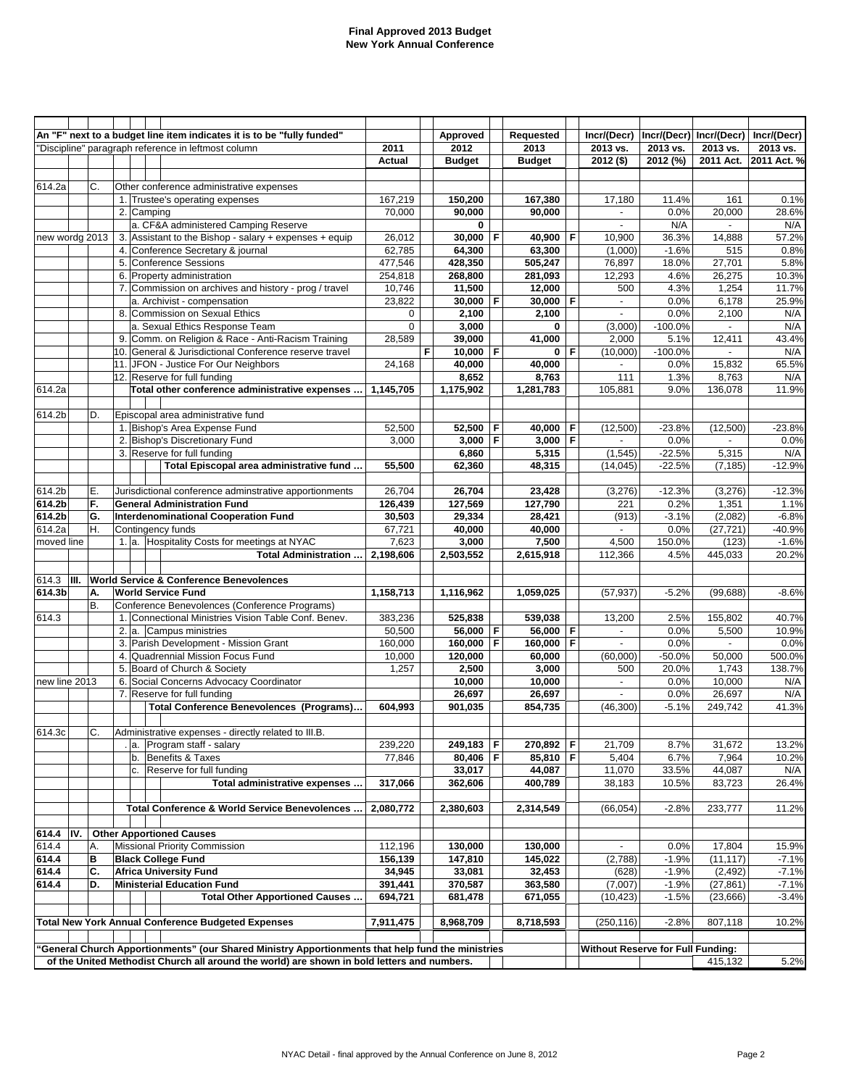#### **Final Approved 2013 Budget New York Annual Conference**

|                |      |    |            | An "F" next to a budget line item indicates it is to be "fully funded"                                |                   |   | Approved          |   | Requested            |   | Incr/(Decr)                              |                   | Incr/(Decr) Incr/(Decr) | Incr/(Decr) |
|----------------|------|----|------------|-------------------------------------------------------------------------------------------------------|-------------------|---|-------------------|---|----------------------|---|------------------------------------------|-------------------|-------------------------|-------------|
|                |      |    |            | "Discipline" paragraph reference in leftmost column                                                   | 2011              |   | 2012              |   | 2013                 |   | 2013 vs.                                 | 2013 vs.          | 2013 vs.                | 2013 vs.    |
|                |      |    |            |                                                                                                       | <b>Actual</b>     |   | <b>Budget</b>     |   | <b>Budget</b>        |   | $2012($ \$)                              | 2012 (%)          | $2011$ Act.             | 2011 Act. % |
|                |      |    |            |                                                                                                       |                   |   |                   |   |                      |   |                                          |                   |                         |             |
| 614.2a         |      | C. |            | Other conference administrative expenses                                                              |                   |   |                   |   |                      |   |                                          |                   |                         |             |
|                |      |    |            | 1. Trustee's operating expenses                                                                       | 167,219           |   | 150,200           |   | 167,380              |   | 17,180                                   | 11.4%             | 161                     | 0.1%        |
|                |      |    | 2. Camping |                                                                                                       | 70,000            |   | 90,000            |   | 90,000               |   |                                          | 0.0%              | 20,000                  | 28.6%       |
|                |      |    |            | a. CF&A administered Camping Reserve                                                                  |                   |   | 0                 |   |                      |   | $\blacksquare$                           | N/A               | $\blacksquare$          | N/A         |
| new wordg 2013 |      |    |            | 3. Assistant to the Bishop - salary + expenses + equip                                                | 26,012            |   | 30,000            | F | 40,900               | F | 10,900                                   | 36.3%             | 14,888                  | 57.2%       |
|                |      |    |            | 4. Conference Secretary & journal                                                                     | 62,785            |   | 64,300            |   | 63,300               |   | (1,000)                                  | $-1.6%$           | 515                     | 0.8%        |
|                |      |    |            | 5. Conference Sessions                                                                                | 477,546           |   | 428,350           |   | 505,247              |   | 76,897                                   | 18.0%             | 27,701                  | 5.8%        |
|                |      |    |            | 6. Property administration                                                                            | 254,818           |   | 268,800           |   | 281,093              |   | 12,293                                   | 4.6%              | 26,275                  | 10.3%       |
|                |      |    |            | 7. Commission on archives and history - prog / travel                                                 | 10,746            |   | 11,500            |   | 12,000               |   | 500                                      | 4.3%              | 1,254                   | 11.7%       |
|                |      |    |            | a. Archivist - compensation<br>8. Commission on Sexual Ethics                                         | 23,822            |   | 30,000            | F | 30,000               | F | $\blacksquare$                           | 0.0%              | 6,178                   | 25.9%       |
|                |      |    |            |                                                                                                       | 0<br>$\mathbf 0$  |   | 2,100<br>3,000    |   | 2,100<br>$\mathbf 0$ |   | $\blacksquare$                           | 0.0%              | 2,100                   | N/A<br>N/A  |
|                |      |    |            | a. Sexual Ethics Response Team<br>9. Comm. on Religion & Race - Anti-Racism Training                  |                   |   | 39,000            |   | 41,000               |   | (3,000)<br>2,000                         | $-100.0%$         |                         | 43.4%       |
|                |      |    |            | 10. General & Jurisdictional Conference reserve travel                                                | 28,589            | F | $10,000$ F        |   | $\mathbf{0}$         | F |                                          | 5.1%<br>$-100.0%$ | 12,411                  | N/A         |
|                |      |    |            | 11. JFON - Justice For Our Neighbors                                                                  | 24,168            |   | 40,000            |   | 40,000               |   | (10,000)                                 | 0.0%              | 15,832                  | 65.5%       |
|                |      |    |            | 12. Reserve for full funding                                                                          |                   |   | 8,652             |   | 8,763                |   | 111                                      | 1.3%              | 8,763                   | N/A         |
| 614.2a         |      |    |            | Total other conference administrative expenses                                                        | 1,145,705         |   | 1,175,902         |   | 1,281,783            |   | 105,881                                  | 9.0%              | 136,078                 | 11.9%       |
|                |      |    |            |                                                                                                       |                   |   |                   |   |                      |   |                                          |                   |                         |             |
| 614.2b         |      | D. |            | Episcopal area administrative fund                                                                    |                   |   |                   |   |                      |   |                                          |                   |                         |             |
|                |      |    |            | 1. Bishop's Area Expense Fund                                                                         | 52,500            |   | 52,500            | F | 40,000 F             |   | (12,500)                                 | $-23.8%$          | (12,500)                | $-23.8%$    |
|                |      |    |            | 2. Bishop's Discretionary Fund                                                                        | 3,000             |   | 3,000             | F | $3,000$ F            |   |                                          | 0.0%              | $\omega$                | 0.0%        |
|                |      |    |            | 3. Reserve for full funding                                                                           |                   |   | 6,860             |   | 5,315                |   | (1,545)                                  | $-22.5%$          | 5,315                   | N/A         |
|                |      |    |            | Total Episcopal area administrative fund                                                              | 55,500            |   | 62,360            |   | 48,315               |   | (14, 045)                                | $-22.5%$          | (7, 185)                | $-12.9%$    |
|                |      |    |            |                                                                                                       |                   |   |                   |   |                      |   |                                          |                   |                         |             |
| 614.2b         |      | Ε. |            | Jurisdictional conference adminstrative apportionments                                                | 26,704            |   | 26,704            |   | 23,428               |   | (3,276)                                  | $-12.3%$          | (3,276)                 | $-12.3%$    |
| 614.2b         |      | F. |            | <b>General Administration Fund</b>                                                                    | 126,439           |   | 127,569           |   | 127,790              |   | 221                                      | 0.2%              | 1,351                   | 1.1%        |
| 614.2b         |      | G. |            | <b>Interdenominational Cooperation Fund</b>                                                           | 30,503            |   | 29,334            |   | 28,421               |   | (913)                                    | $-3.1%$           | (2,082)                 | $-6.8%$     |
| 614.2a         |      | Η. |            | Contingency funds                                                                                     | 67,721            |   | 40,000            |   | 40,000               |   | $\blacksquare$                           | 0.0%              | (27, 721)               | $-40.9%$    |
| moved line     |      |    |            | 1. a. Hospitality Costs for meetings at NYAC                                                          | 7,623             |   | 3,000             |   | 7,500                |   | 4,500                                    | 150.0%            | (123)                   | $-1.6%$     |
|                |      |    |            | Total Administration                                                                                  | 2,198,606         |   | 2,503,552         |   | 2,615,918            |   | 112,366                                  | 4.5%              | 445,033                 | 20.2%       |
|                |      |    |            |                                                                                                       |                   |   |                   |   |                      |   |                                          |                   |                         |             |
| 614.3          | III. |    |            | <b>World Service &amp; Conference Benevolences</b>                                                    |                   |   |                   |   |                      |   |                                          |                   |                         |             |
| 614.3b         |      | А. |            | <b>World Service Fund</b>                                                                             | 1,158,713         |   | 1,116,962         |   | 1,059,025            |   | (57, 937)                                | $-5.2%$           | (99, 688)               | $-8.6%$     |
|                |      | В. |            | Conference Benevolences (Conference Programs)<br>1. Connectional Ministries Vision Table Conf. Benev. |                   |   |                   |   |                      |   |                                          |                   |                         | 40.7%       |
| 614.3          |      |    |            | 2. a. Campus ministries                                                                               | 383,236<br>50,500 |   | 525,838<br>56,000 | F | 539,038<br>56,000    | F | 13,200<br>$\overline{\phantom{a}}$       | 2.5%<br>0.0%      | 155,802<br>5,500        | 10.9%       |
|                |      |    |            | 3. Parish Development - Mission Grant                                                                 | 160,000           |   | 160,000           | F | 160,000              | F | $\blacksquare$                           | 0.0%              | $\overline{a}$          | 0.0%        |
|                |      |    |            | 4. Quadrennial Mission Focus Fund                                                                     | 10,000            |   | 120,000           |   | 60,000               |   | (60,000)                                 | $-50.0%$          | 50,000                  | 500.0%      |
|                |      |    |            | 5. Board of Church & Society                                                                          | 1,257             |   | 2,500             |   | 3,000                |   | 500                                      | 20.0%             | 1,743                   | 138.7%      |
| new line 2013  |      |    |            | 6. Social Concerns Advocacy Coordinator                                                               |                   |   | 10,000            |   | 10,000               |   | $\blacksquare$                           | 0.0%              | 10,000                  | N/A         |
|                |      |    |            | 7. Reserve for full funding                                                                           |                   |   | 26,697            |   | 26.697               |   | $\blacksquare$                           | 0.0%              | 26.697                  | N/A         |
|                |      |    |            | Total Conference Benevolences (Programs)                                                              | 604,993           |   | 901,035           |   | 854,735              |   | (46.300)                                 | $-5.1%$           | 249,742                 | 41.3%       |
|                |      |    |            |                                                                                                       |                   |   |                   |   |                      |   |                                          |                   |                         |             |
| 614.3c         |      |    |            | Administrative expenses - directly related to III.B.                                                  |                   |   |                   |   |                      |   |                                          |                   |                         |             |
|                |      |    |            | a. Program staff - salary                                                                             | 239,220           |   | 249,183 F         |   | 270,892 F            |   | 21,709                                   | 8.7%              | 31,672                  | 13.2%       |
|                |      |    | b.         | Benefits & Taxes                                                                                      | 77,846            |   | 80,406            | F | 85,810 F             |   | 5,404                                    | 6.7%              | 7,964                   | 10.2%       |
|                |      |    |            | c. Reserve for full funding                                                                           |                   |   | 33,017            |   | 44,087               |   | 11,070                                   | 33.5%             | 44,087                  | N/A         |
|                |      |    |            | Total administrative expenses                                                                         | 317,066           |   | 362,606           |   | 400,789              |   | 38,183                                   | 10.5%             | 83,723                  | 26.4%       |
|                |      |    |            |                                                                                                       |                   |   |                   |   |                      |   |                                          |                   |                         |             |
|                |      |    |            | Total Conference & World Service Benevolences                                                         | 2,080,772         |   | 2,380,603         |   | 2,314,549            |   | (66, 054)                                | $-2.8%$           | 233,777                 | 11.2%       |
|                |      |    |            |                                                                                                       |                   |   |                   |   |                      |   |                                          |                   |                         |             |
| 614.4          | IV.  |    |            | <b>Other Apportioned Causes</b>                                                                       |                   |   |                   |   |                      |   |                                          |                   |                         |             |
| 614.4          |      | А. |            | <b>Missional Priority Commission</b>                                                                  | 112,196           |   | 130,000           |   | 130,000              |   | $\sim$                                   | 0.0%              | 17,804                  | 15.9%       |
| 614.4          |      | в  |            | <b>Black College Fund</b>                                                                             | 156,139           |   | 147,810           |   | 145,022              |   | (2,788)                                  | $-1.9%$           | (11, 117)               | $-7.1%$     |
| 614.4          |      | C. |            | <b>Africa University Fund</b>                                                                         | 34,945            |   | 33,081            |   | 32,453               |   | (628)                                    | $-1.9%$           | (2, 492)                | $-7.1%$     |
| 614.4          |      | D. |            | <b>Ministerial Education Fund</b>                                                                     | 391,441           |   | 370,587           |   | 363,580              |   | (7,007)                                  | $-1.9%$           | (27, 861)               | $-7.1%$     |
|                |      |    |            | Total Other Apportioned Causes                                                                        | 694,721           |   | 681,478           |   | 671,055              |   | (10, 423)                                | $-1.5%$           | (23, 666)               | $-3.4%$     |
|                |      |    |            | <b>Total New York Annual Conference Budgeted Expenses</b>                                             | 7,911,475         |   | 8,968,709         |   | 8,718,593            |   | (250, 116)                               | $-2.8%$           | 807,118                 | 10.2%       |
|                |      |    |            |                                                                                                       |                   |   |                   |   |                      |   |                                          |                   |                         |             |
|                |      |    |            | 'General Church Apportionments" (our Shared Ministry Apportionments that help fund the ministries     |                   |   |                   |   |                      |   | <b>Without Reserve for Full Funding:</b> |                   |                         |             |
|                |      |    |            | of the United Methodist Church all around the world) are shown in bold letters and numbers.           |                   |   |                   |   |                      |   |                                          |                   | 415,132                 | 5.2%        |
|                |      |    |            |                                                                                                       |                   |   |                   |   |                      |   |                                          |                   |                         |             |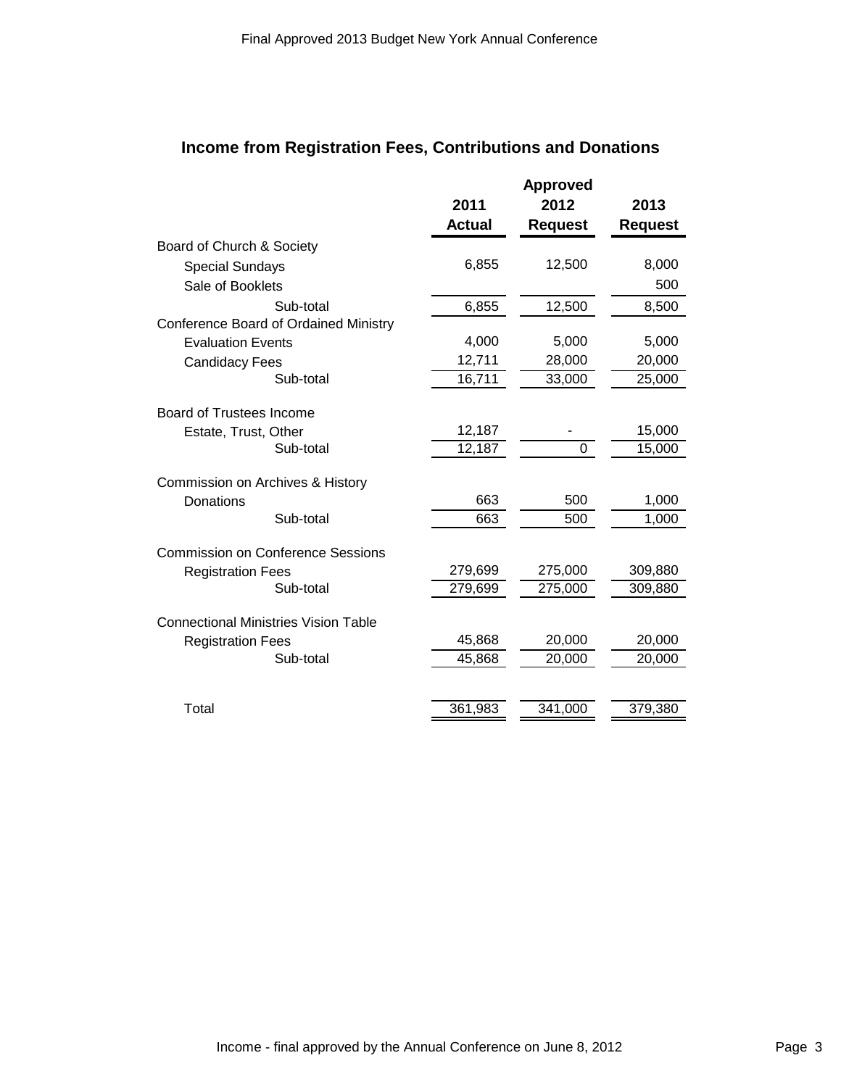# **Income from Registration Fees, Contributions and Donations**

|                                              |               | <b>Approved</b> |                |
|----------------------------------------------|---------------|-----------------|----------------|
|                                              | 2011          | 2012            | 2013           |
|                                              | <b>Actual</b> | <b>Request</b>  | <b>Request</b> |
| Board of Church & Society                    |               |                 |                |
| <b>Special Sundays</b>                       | 6,855         | 12,500          | 8,000          |
| Sale of Booklets                             |               |                 | 500            |
| Sub-total                                    | 6,855         | 12,500          | 8,500          |
| <b>Conference Board of Ordained Ministry</b> |               |                 |                |
| <b>Evaluation Events</b>                     | 4,000         | 5,000           | 5,000          |
| <b>Candidacy Fees</b>                        | 12,711        | 28,000          | 20,000         |
| Sub-total                                    | 16,711        | 33,000          | 25,000         |
| Board of Trustees Income                     |               |                 |                |
| Estate, Trust, Other                         | 12,187        |                 | 15,000         |
| Sub-total                                    | 12,187        | $\mathbf 0$     | 15,000         |
|                                              |               |                 |                |
| Commission on Archives & History             | 663           | 500             | 1,000          |
| Donations<br>Sub-total                       | 663           | 500             | 1,000          |
|                                              |               |                 |                |
| <b>Commission on Conference Sessions</b>     |               |                 |                |
| <b>Registration Fees</b>                     | 279,699       | 275,000         | 309,880        |
| Sub-total                                    | 279,699       | 275,000         | 309,880        |
| <b>Connectional Ministries Vision Table</b>  |               |                 |                |
| <b>Registration Fees</b>                     | 45,868        | 20,000          | 20,000         |
| Sub-total                                    | 45,868        | 20,000          | 20,000         |
|                                              |               |                 |                |
| Total                                        | 361,983       | 341,000         | 379,380        |
|                                              |               |                 |                |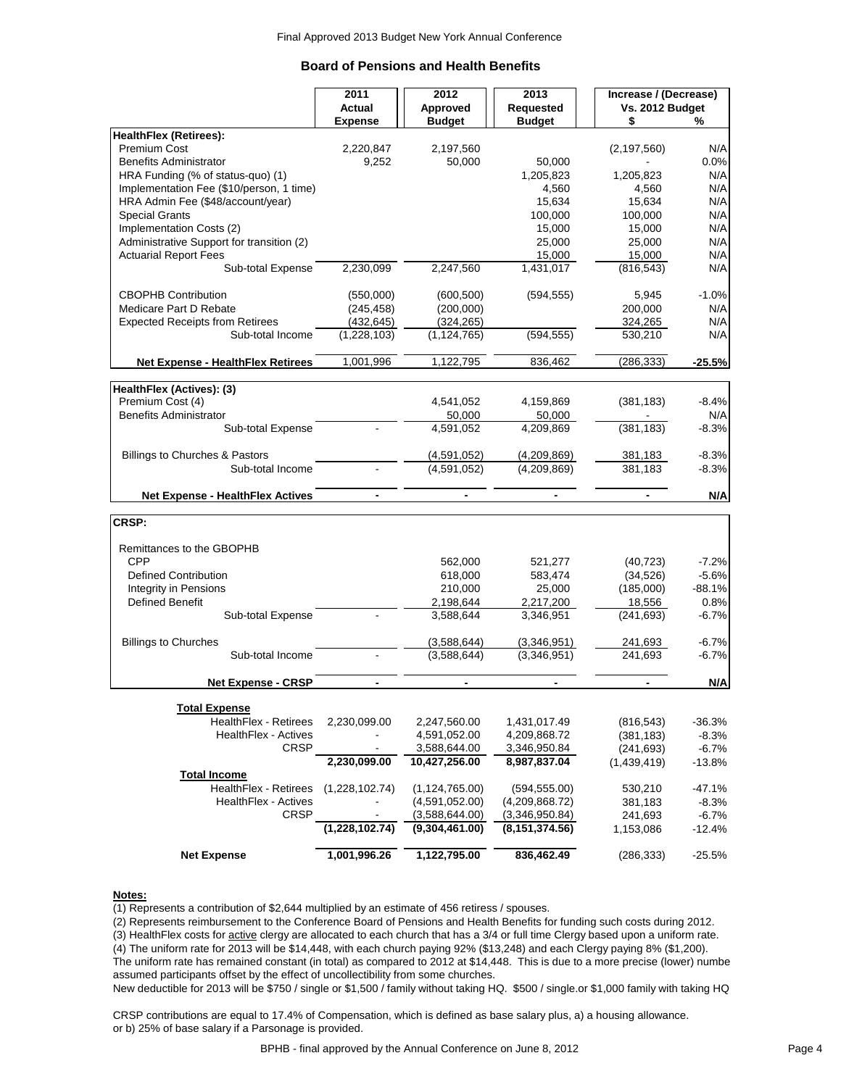## **Board of Pensions and Health Benefits**

|                                                             | 2011                        | 2012                         | 2013                         | Increase / (Decrease) |                |  |
|-------------------------------------------------------------|-----------------------------|------------------------------|------------------------------|-----------------------|----------------|--|
|                                                             | <b>Actual</b>               | Approved                     | Requested<br><b>Budget</b>   | Vs. 2012 Budget<br>\$ | ℅              |  |
| <b>HealthFlex (Retirees):</b>                               | <b>Expense</b>              | <b>Budget</b>                |                              |                       |                |  |
| <b>Premium Cost</b>                                         | 2,220,847                   | 2,197,560                    |                              | (2, 197, 560)         | N/A            |  |
| <b>Benefits Administrator</b>                               | 9,252                       | 50,000                       | 50,000                       |                       | 0.0%           |  |
| HRA Funding (% of status-quo) (1)                           |                             |                              | 1,205,823                    | 1,205,823             | N/A            |  |
| Implementation Fee (\$10/person, 1 time)                    |                             |                              | 4,560                        | 4,560                 | N/A            |  |
| HRA Admin Fee (\$48/account/year)                           |                             |                              | 15,634                       | 15,634                | N/A            |  |
| <b>Special Grants</b>                                       |                             |                              | 100,000                      | 100,000               | N/A            |  |
| Implementation Costs (2)                                    |                             |                              | 15,000                       | 15,000                | N/A            |  |
| Administrative Support for transition (2)                   |                             |                              | 25,000                       | 25,000                | N/A            |  |
| <b>Actuarial Report Fees</b>                                |                             |                              | 15.000                       | 15,000                | N/A            |  |
| Sub-total Expense                                           | 2,230,099                   | 2,247,560                    | 1,431,017                    | (816, 543)            | N/A            |  |
| <b>CBOPHB Contribution</b>                                  | (550,000)                   | (600, 500)                   | (594, 555)                   | 5,945                 | $-1.0%$        |  |
| Medicare Part D Rebate                                      | (245,458)                   | (200,000)                    |                              | 200,000               | N/A            |  |
| <b>Expected Receipts from Retirees</b>                      | (432, 645)                  | (324, 265)                   |                              | 324,265               | N/A            |  |
| Sub-total Income                                            | (1,228,103)                 | (1, 124, 765)                | (594, 555)                   | 530,210               | N/A            |  |
| <b>Net Expense - HealthFlex Retirees</b>                    | 1,001,996                   | 1,122,795                    | 836,462                      | (286, 333)            | $-25.5%$       |  |
|                                                             |                             |                              |                              |                       |                |  |
| HealthFlex (Actives): (3)                                   |                             |                              |                              |                       |                |  |
| Premium Cost (4)                                            |                             | 4,541,052                    | 4,159,869                    | (381, 183)            | $-8.4%$        |  |
| <b>Benefits Administrator</b><br>Sub-total Expense          |                             | 50,000<br>4.591.052          | 50,000<br>4,209,869          | (381, 183)            | N/A<br>$-8.3%$ |  |
|                                                             |                             |                              |                              |                       |                |  |
| Billings to Churches & Pastors                              |                             | (4,591,052)                  | (4,209,869)                  | 381,183               | $-8.3%$        |  |
| Sub-total Income                                            |                             | (4,591,052)                  | (4,209,869)                  | 381,183               | $-8.3%$        |  |
| <b>Net Expense - HealthFlex Actives</b>                     | $\overline{\phantom{a}}$    | $\overline{\phantom{a}}$     | $\blacksquare$               | $\blacksquare$        | N/A            |  |
|                                                             |                             |                              |                              |                       |                |  |
| CRSP:                                                       |                             |                              |                              |                       |                |  |
| Remittances to the GBOPHB                                   |                             |                              |                              |                       |                |  |
| <b>CPP</b>                                                  |                             | 562,000                      | 521,277                      | (40, 723)             | $-7.2%$        |  |
| <b>Defined Contribution</b>                                 |                             | 618,000                      | 583,474                      | (34, 526)             | $-5.6%$        |  |
| <b>Integrity in Pensions</b>                                |                             | 210,000                      | 25,000                       | (185,000)             | $-88.1%$       |  |
| <b>Defined Benefit</b>                                      |                             | 2,198,644                    | 2,217,200                    | 18,556                | 0.8%           |  |
| Sub-total Expense                                           |                             | 3,588,644                    | 3,346,951                    | (241, 693)            | $-6.7%$        |  |
| <b>Billings to Churches</b>                                 |                             | (3,588,644)                  | (3,346,951)                  | 241,693               | $-6.7%$        |  |
| Sub-total Income                                            |                             | (3,588,644)                  | (3,346,951)                  | 241,693               | $-6.7%$        |  |
| <b>Net Expense - CRSP</b>                                   | $\blacksquare$              | $\blacksquare$               | $\blacksquare$               |                       | N/A            |  |
|                                                             |                             |                              |                              |                       |                |  |
| <b>Total Expense</b>                                        |                             |                              |                              |                       |                |  |
| <b>HealthFlex - Retirees</b><br><b>HealthFlex - Actives</b> | 2,230,099.00                | 2,247,560.00                 | 1,431,017.49                 | (816, 543)            | $-36.3%$       |  |
| <b>CRSP</b>                                                 |                             | 4,591,052.00<br>3,588,644.00 | 4,209,868.72                 | (381, 183)            | $-8.3%$        |  |
|                                                             | 2,230,099.00                | 10,427,256.00                | 3,346,950.84<br>8,987,837.04 | (241, 693)            | $-6.7%$        |  |
| <b>Total Income</b>                                         |                             |                              |                              | (1,439,419)           | $-13.8%$       |  |
| HealthFlex - Retirees                                       | (1,228,102.74)              | (1, 124, 765.00)             | (594, 555.00)                | 530,210               | $-47.1%$       |  |
| <b>HealthFlex - Actives</b>                                 |                             | (4,591,052.00)               | (4,209,868.72)               | 381,183               | $-8.3%$        |  |
| <b>CRSP</b>                                                 |                             | (3,588,644.00)               | (3,346,950.84)               | 241,693               | $-6.7%$        |  |
|                                                             | $(1,228,102.\overline{74})$ | (9,304,461.00)               | (8, 151, 374.56)             | 1,153,086             | $-12.4%$       |  |
| <b>Net Expense</b>                                          | 1,001,996.26                | 1,122,795.00                 | 836,462.49                   | (286, 333)            | $-25.5%$       |  |

## **Notes:**

(1) Represents a contribution of \$2,644 multiplied by an estimate of 456 retiress / spouses.

(2) Represents reimbursement to the Conference Board of Pensions and Health Benefits for funding such costs during 2012.

(3) HealthFlex costs for active clergy are allocated to each church that has a 3/4 or full time Clergy based upon a uniform rate.

(4) The uniform rate for 2013 will be \$14,448, with each church paying 92% (\$13,248) and each Clergy paying 8% (\$1,200).

The uniform rate has remained constant (in total) as compared to 2012 at \$14,448. This is due to a more precise (lower) numbe assumed participants offset by the effect of uncollectibility from some churches.

New deductible for 2013 will be \$750 / single or \$1,500 / family without taking HQ. \$500 / single.or \$1,000 family with taking HQ

CRSP contributions are equal to 17.4% of Compensation, which is defined as base salary plus, a) a housing allowance. or b) 25% of base salary if a Parsonage is provided.